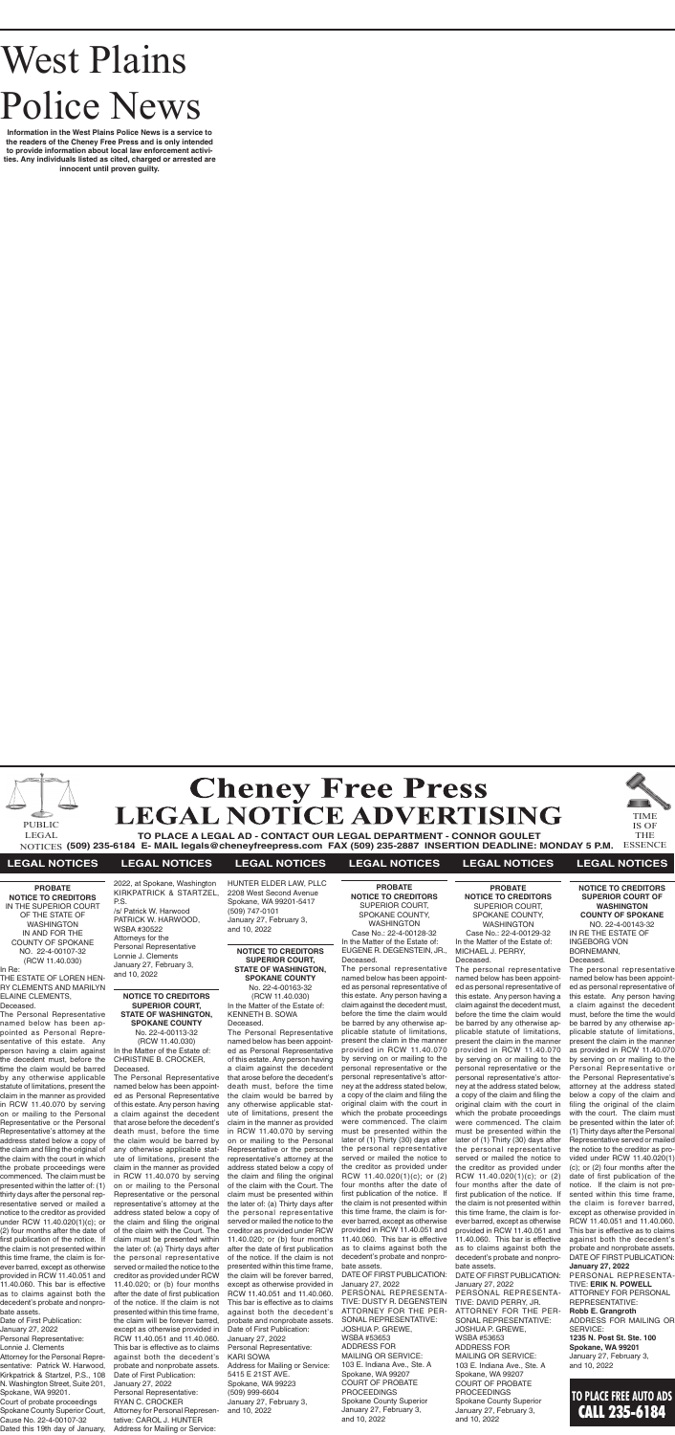

**(509) 235-6184 E- MAIL legals@cheneyfreepress.com FAX (509) 235-2887 INSERTION DEADLINE: MONDAY 5 P.M.** NOTICES ESSENCE



# **LEGAL NOTICES LEGAL NOTICES LEGAL NOTICES LEGAL NOTICES LEGAL NOTICES LEGAL NOTICES**

# West Plains Police News

**Information in the West Plains Police News is a service to the readers of the Cheney Free Press and is only intended to provide information about local law enforcement activities. Any individuals listed as cited, charged or arrested are innocent until proven guilty.**

> **PROBATE NOTICE TO CREDITORS** SUPERIOR COURT, SPOKANE COUNTY, WASHINGTON Case No.: 22-4-00129-32 In the Matter of the Estate of: MICHAEL J. PERRY, Deceased.

The personal representative named below has been appointed as personal representative of this estate. Any person having a claim against the decedent must, before the time the claim would be barred by any otherwise applicable statute of limitations, present the claim in the manner provided in RCW 11.40.070 by serving on or mailing to the personal representative or the personal representative's attorney at the address stated below, a copy of the claim and filing the original claim with the court in which the probate proceedings were commenced. The claim must be presented within the later of (1) Thirty (30) days after the personal representative served or mailed the notice to the creditor as provided under RCW 11.40.020(1)(c); or (2) four months after the date of first publication of the notice. If the claim is not presented within this time frame, the claim is forever barred, except as otherwise provided in RCW 11.40.051 and 11.40.060. This bar is effective as to claims against both the decedent's probate and nonprobate assets. DATE OF FIRST PUBLICATION: January 27, 2022 PERSONAL REPRESENTA-TIVE: DAVID PERRY, JR.

ATTORNEY FOR THE PER-SONAL REPRESENTATIVE: JOSHUA P. GREWE, WSBA #53653 ADDRESS FOR MAILING OR SERVICE: 103 E. Indiana Ave., Ste. A Spokane, WA 99207 COURT OF PROBATE PROCEEDINGS Spokane County Superior January 27, February 3, and 10, 2022

**PROBATE NOTICE TO CREDITORS** SUPERIOR COURT, SPOKANE COUNTY, WASHINGTON Case No.: 22-4-00128-32 In the Matter of the Estate of:

EUGENE R. DEGENSTEIN, JR., Deceased.

The personal representative named below has been appointed as personal representative of this estate. Any person having a claim against the decedent must, before the time the claim would be barred by any otherwise applicable statute of limitations, present the claim in the manner provided in RCW 11.40.070 by serving on or mailing to the personal representative or the personal representative's attorney at the address stated below, a copy of the claim and filing the original claim with the court in which the probate proceedings were commenced. The claim must be presented within the later of (1) Thirty (30) days after the personal representative served or mailed the notice to the creditor as provided under RCW 11.40.020(1)(c); or (2) four months after the date of first publication of the notice. If the claim is not presented within this time frame, the claim is forever barred, except as otherwise provided in RCW 11.40.051 and 11.40.060. This bar is effective as to claims against both the decedent's probate and nonprobate assets.

DATE OF FIRST PUBLICATION: January 27, 2022 PERSONAL REPRESENTA-TIVE: DUSTY R. DEGENSTEIN ATTORNEY FOR THE PER-SONAL REPRESENTATIVE: JOSHUA P. GREWE, WSBA #53653 ADDRESS FOR MAILING OR SERVICE: 103 E. Indiana Ave., Ste. A Spokane, WA 99207 COURT OF PROBATE PROCEEDINGS Spokane County Superior January 27, February 3, and 10, 2022

# **NOTICE TO CREDITORS SUPERIOR COURT OF WASHINGTON COUNTY OF SPOKANE** NO. 22-4-00143-32 IN RE THE ESTATE OF INGEBORG VON BORNEMANN, Deceased.

The personal representative named below has been appointed as personal representative of this estate. Any person having a claim against the decedent must, before the time the would be barred by any otherwise applicable statute of limitations, present the claim in the manner as provided in RCW 11.40.070 by serving on or mailing to the Personal Representative or the Personal Representative's attorney at the address stated below a copy of the claim and filing the original of the claim with the court. The claim must be presented within the later of: (1) Thirty days after the Personal Representative served or mailed the notice to the creditor as provided under RCW 11.40.020(1) (c); or (2) four months after the date of first publication of the notice. If the claim is not presented within this time frame, the claim is forever barred, except as otherwise provided in RCW 11.40.051 and 11.40.060. This bar is effective as to claims against both the decedent's probate and nonprobate assets. DATE OF FIRST PUBLICATION: **January 27, 2022**

PERSONAL REPRESENTA-TIVE: **ERIK N. POWELL** ATTORNEY FOR PERSONAL REPRESENTATIVE: **Robb E. Grangroth** ADDRESS FOR MAILING OR SERVICE: **1235 N. Post St. Ste. 100 Spokane, WA 99201** January 27, February 3, and 10, 2022

# **NOTICE TO CREDITORS SUPERIOR COURT, STATE OF WASHINGTON, SPOKANE COUNTY** No. 22-4-00163-32

(RCW 11.40.030) In the Matter of the Estate of: KENNETH B. SOWA Deceased.

The Personal Representative named below has been appointed as Personal Representative of this estate. Any person having a claim against the decedent that arose before the decedent's death must, before the time the claim would be barred by any otherwise applicable statute of limitations, present the claim in the manner as provided in RCW 11.40.070 by serving on or mailing to the Personal Representative or the personal representative's attorney at the address stated below a copy of the claim and filing the original of the claim with the Court. The claim must be presented within the later of: (a) Thirty days after the personal representative served or mailed the notice to the creditor as provided under RCW 11.40.020; or (b) four months after the date of first publication of the notice. If the claim is not presented within this time frame, the claim will be forever barred, except as otherwise provided in RCW 11.40.051 and 11.40.060. This bar is effective as to claims against both the decedent's probate and nonprobate assets. Date of First Publication: January 27, 2022 Personal Representative: KARI SOWA Address for Mailing or Service: 5415 E 21ST AVE. Spokane, WA 99223 (509) 999-6604 January 27, February 3, and 10, 2022

**PROBATE NOTICE TO CREDITORS** IN THE SUPERIOR COURT OF THE STATE OF WASHINGTON IN AND FOR THE COUNTY OF SPOKANE NO. 22-4-00107-32 (RCW 11.40.030) In Re:

THE ESTATE OF LOREN HEN-RY CLEMENTS AND MARILYN ELAINE CLEMENTS,

Deceased.

The Personal Representative named below has been appointed as Personal Representative of this estate. Any person having a claim against the decedent must, before the time the claim would be barred by any otherwise applicable statute of limitations, present the claim in the manner as provided in RCW 11.40.070 by serving on or mailing to the Personal Representative or the Personal Representative's attorney at the address stated below a copy of the claim and filing the original of the claim with the court in which the probate proceedings were commenced. The claim must be presented within the latter of: (1) thirty days after the personal representative served or mailed a notice to the creditor as provided under RCW 11.40.020(1)(c); or (2) four months after the date of first publication of the notice. If the claim is not presented within this time frame, the claim is forever barred, except as otherwise provided in RCW 11.40.051 and 11.40.060. This bar is effective as to claims against both the decedent's probate and nonprobate assets.

Date of First Publication: January 27, 2022 Personal Representative: Lonnie J. Clements Attorney for the Personal Repre-

sentative: Patrick W. Harwood, Kirkpatrick & Startzel, P.S., 108 N. Washington Street, Suite 201, Spokane, WA 99201. Court of probate proceedings Spokane County Superior Court, Cause No. 22-4-00107-32

Dated this 19th day of January,

# **NOTICE TO CREDITORS SUPERIOR COURT, STATE OF WASHINGTON, SPOKANE COUNTY** No. 22-4-00113-32 (RCW 11.40.030) In the Matter of the Estate of: CHRISTINE B. CROCKER,

Deceased. The Personal Representative named below has been appointed as Personal Representative of this estate. Any person having a claim against the decedent that arose before the decedent's death must, before the time the claim would be barred by any otherwise applicable statute of limitations, present the claim in the manner as provided in RCW 11.40.070 by serving on or mailing to the Personal Representative or the personal representative's attorney at the address stated below a copy of the claim and filing the original of the claim with the Court. The claim must be presented within the later of: (a) Thirty days after the personal representative served or mailed the notice to the creditor as provided under RCW 11.40.020; or (b) four months after the date of first publication of the notice. If the claim is not presented within this time frame, the claim will be forever barred, except as otherwise provided in RCW 11.40.051 and 11.40.060. This bar is effective as to claims against both the decedent's probate and nonprobate assets. Date of First Publication: January 27, 2022 Personal Representative: RYAN C. CROCKER Attorney for Personal Representative: CAROL J. HUNTER Address for Mailing or Service:

### 2022, at Spokane, Washington KIRKPATRICK & STARTZEL, P.S.

/s/ Patrick W. Harwood PATRICK W. HARWOOD, WSBA #30522 Attorneys for the Personal Representative Lonnie J. Clements January 27, February 3, and 10, 2022

HUNTER ELDER LAW, PLLC 2208 West Second Avenue Spokane, WA 99201-5417 (509) 747-0101 January 27, February 3, and 10, 2022

# **TO PLACE FREE AUTO ADS** CALL 235-6184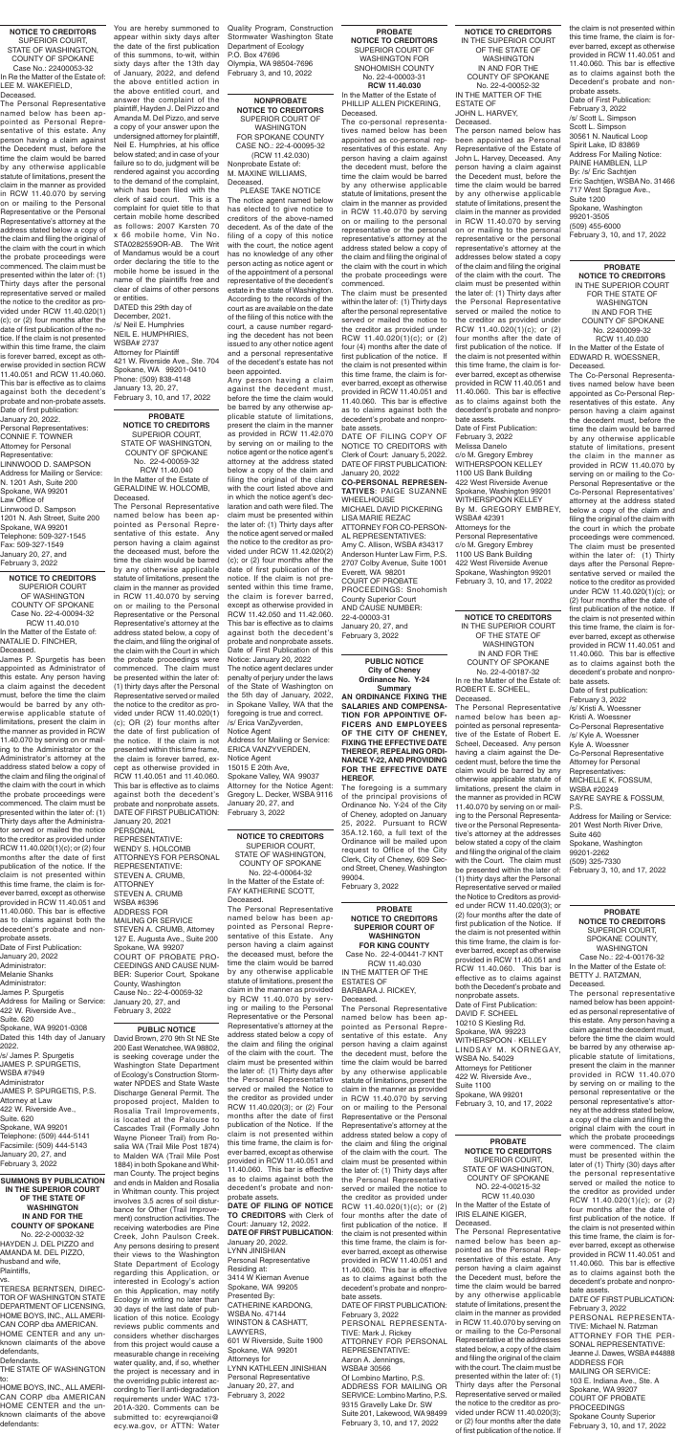**SUMMONS BY PUBLICATION IN THE SUPERIOR COURT OF THE STATE OF WASHINGTON IN AND FOR THE COUNTY OF SPOKANE** No. 22-2-00032-32 HAYDEN J. DEL PIZZO and AMANDA M. DEL PIZZO, husband and wife, Plaintiffs, vs.

TERESA BERNTSEN, DIREC-TOR OF WASHINGTON STATE DEPARTMENT OF LICENSING, HOME BOYS, INC., ALL AMERI-CAN CORP dba AMERICAN. HOME CENTER and any unknown claimants of the above defendants, Defendants.

THE STATE OF WASHINGTON to:

HOME BOYS, INC., ALL AMERI-CAN CORP dba AMERICAN HOME CENTER and the unknown claimants of the above defendants:

**NONPROBATE NOTICE TO CREDITORS** SUPERIOR COURT OF WASHINGTON FOR SPOKANE COUNTY CASE NO.: 22-4-00095-32 (RCW 11.42.030) Nonprobate Estate of:

M. MAXINE WILLIAMS, Deceased.

PLEASE TAKE NOTICE The notice agent named below has elected to give notice to creditors of the above-named decedent. As of the date of the filing of a copy of this notice with the court, the notice agent has no knowledge of any other person acting as notice agent or of the appointment of a personal representative of the decedent's estate in the state of Washington. According to the records of the court as are available on the date of the filing of this notice with the court, a cause number regarding the decedent has not been issued to any other notice agent and a personal representative of the decedent's estate has not been appointed.

Any person having a claim against the decedent must, before the time the claim would be barred by any otherwise applicable statute of limitations, present the claim in the manner as provided in RCW 11.42.070 by serving on or mailing to the notice agent or the notice agent's attorney at the address stated below a copy of the claim and filing the original of the claim with the court listed above and in which the notice agent's declaration and oath were filed. The claim must be presented within the later of: (1) Thirty days after the notice agent served or mailed the notice to the creditor as provided under RCW 11.42.020(2) (c); or (2) four months after the date of first publication of the notice. If the claim is not presented within this time frame, the claim is forever barred, except as otherwise provided in RCW 11.42.050 and 11.42.060. This bar is effective as to claims against both the decedent's probate and nonprobate assets. Date of First Publication of this Notice: January 20, 2022 The notice agent declares under penalty of perjury under the laws of the State of Washington on the 5th day of January, 2022, in Spokane Valley, WA that the foregoing is true and correct. /s/ Erica VanZyverden, Notice Agent Address for Mailing or Service: ERICA VANZYVERDEN, Notice Agent 15015 E 20th Ave, Spokane Valley, WA 99037 Attorney for the Notice Agent: Gregory L. Decker, WSBA 9116 January 20, 27, and February 3, 2022

**PROBATE NOTICE TO CREDITORS** SUPERIOR COURT OF WASHINGTON FOR SNOHOMISH COUNTY No. 22-4-00003-31 **RCW 11.40.030** In the Matter of the Estate of

PHILLIP ALLEN PICKERING, Deceased.

The co-personal representatives named below has been appointed as co-personal representatives of this estate. Any person having a claim against the decedent must, before the time the claim would be barred by any otherwise applicable statute of limitations, present the claim in the manner as provided in RCW 11.40.070 by serving on or mailing to the personal representative or the personal representative's attorney at the address stated below a copy of the claim and filing the original of the claim with the court in which the probate proceedings were commenced.

The claim must be presented within the later of: (1) Thirty days after the personal representative served or mailed the notice to the creditor as provided under RCW 11.40.020(1)(c); or (2) four (4) months after the date of first publication of the notice. If the claim is not presented within this time frame, the claim is forever barred, except as otherwise provided in RCW 11.40.051 and 11.40.060. This bar is effective as to claims against both the decedent's probate and nonpro-

bate assets. DATE OF FILING COPY OF NOTICE TO CREDITORS with Clerk of Court: January 5, 2022. DATE OF FIRST PUBLICATION: January 20, 2022 **CO-PERSONAL REPRESEN-TATIVES**: PAIGE SUZANNE WHEELHOUSE MICHAEL DAVID PICKERING LISA MARIE REZAC ATTORNEY FOR CO-PERSON-AL REPRESENTATIVES: Amy C. Allison, WSBA #34317 Anderson Hunter Law Firm, P.S. 2707 Colby Avenue, Suite 1001 Everett, WA 98201 COURT OF PROBATE PROCEEDINGS: Snohomish County Superior Court

AND CAUSE NUMBER: 22-4-00003-31 January 20, 27, and February 3, 2022

**NOTICE TO CREDITORS** SUPERIOR COURT OF WASHINGTON COUNTY OF SPOKANE Case No. 22-4-00094-32 RCW 11.40.010

In the Matter of the Estate of: NATALIE D. FINCHER, Deceased.

James P. Spurgetis has been appointed as Administrator of this estate. Any person having a claim against the decedent must, before the time the claim would be barred by any otherwise applicable statute of limitations, present the claim in the manner as provided in RCW 11.40.070 by serving on or mailing to the Administrator or the Administrator's attorney at the address stated below a copy of the claim and filing the original of the claim with the court in which the probate proceedings were commenced. The claim must be presented within the later of: (1) Thirty days after the Administrator served or mailed the notice to the creditor as provided under RCW 11.40.020(1)(c); or (2) four months after the date of first publication of the notice. If the claim is not presented within this time frame, the claim is forever barred, except as otherwise provided in RCW 11.40.051 and 11.40.060. This bar is effective as to claims against both the decedent's probate and nonprobate assets. Date of First Publication: January 20, 2022 Administrator: Melanie Shanks Administrator: James P. Spurgetis Address for Mailing or Service: 422 W. Riverside Ave., Suite. 620 Spokane, WA 99201-0308 Dated this 14th day of January 2022. /s/ James P. Spurgetis JAMES P. SPURGETIS, WSBA #7949 Administrator JAMES P. SPURGETIS, P.S. Attorney at Law 422 W. Riverside Ave., Suite. 620 Spokane, WA 99201 Telephone: (509) 444-5141 Facsimile: (509) 444-5143 January 20, 27, and February 3, 2022

### **NOTICE TO CREDITORS** SUPERIOR COURT, STATE OF WASHINGTON, COUNTY OF SPOKANE Case No.: 22400053-32 In Re the Matter of the Estate of: LEE M. WAKEFIELD, Deceased.

The Personal Representative named below has been appointed as Personal Representative of this estate. Any person having a claim against the Decedent must, before the time the claim would be barred by any otherwise applicable statute of limitations, present the claim in the manner as provided in RCW 11.40.070 by serving on or mailing to the Personal Representative or the Personal Representative's attorney at the address stated below a copy of the claim and filing the original of the claim with the court in which the probate proceedings were commenced. The claim must be presented within the later of: (1) Thirty days after the personal representative served or mailed the notice to the creditor as provided under RCW 11.40.020(1) (c); or (2) four months after the date of first publication of the notice. If the claim is not presented within this time frame, the claim is forever barred, except as otherwise provided in section RCW 11.40.051 and RCW 11.40.060. This bar is effective as to claims against both the decedent's probate and non-probate assets. Date of first publication: January 20, 2022. Personal Representatives: CONNIE F. TOWNER Attorney for Personal Representative:

LINNWOOD D. SAMPSON Address for Mailing or Service: N. 1201 Ash, Suite 200 Spokane, WA 99201 Law Office of Linnwood D. Sampson 1201 N. Ash Street, Suite 200 Spokane, WA 99201 Telephone: 509-327-1545 Fax: 509-327-1549 January 20, 27, and February 3, 2022

**PROBATE NOTICE TO CREDITORS** SUPERIOR COURT, STATE OF WASHINGTON, COUNTY OF SPOKANE No. 22-4-00059-32 RCW 11.40.040 In the Matter of the Estate of GERALDINE W. HOLCOMB, Deceased.

The Personal Representative named below has been appointed as Personal Representative of this estate. Any person having a claim against the deceased must, before the time the claim would be barred by any otherwise applicable statute of limitations, present the claim in the manner as provided in RCW 11.40.070 by serving on or mailing to the Personal Representative or the Personal Representative's attorney at the address stated below, a copy of the claim, and filing the original of the claim with the Court in which the probate proceedings were commenced. The claim must be presented within the later of: (1) thirty days after the Personal Representative served or mailed the notice to the creditor as provided under RCW 11.40.020(1) (c); OR (2) four months after the date of first publication of the notice. If the claim is not presented within this time frame, the claim is forever barred, except as otherwise provided in RCW 11.40.051 and 11.40.060. This bar is effective as to claims against both the decedent's probate and nonprobate assets. DATE OF FIRST PUBLICATION: January 20, 2021 PERSONAL

REPRESENTATIVE: WENDY S. HOLCOMB ATTORNEYS FOR PERSONAL REPRESENTATIVE: STEVEN A. CRUMB, **ATTORNEY** STEVEN A. CRUMB WSBA #6396 ADDRESS FOR MAILING OR SERVICE STEVEN A. CRUMB, Attorney 127 E. Augusta Ave., Suite 200 Spokane, WA 99207 COURT OF PROBATE PRO-CEEDINGS AND CAUSE NUM-BER: Superior Court, Spokane County, Washington Cause No.: 22-4-00059-32 January 20, 27, and February 3, 2022

**NOTICE TO CREDITORS**

SUPERIOR COURT, STATE OF WASHINGTON, COUNTY OF SPOKANE No. 22-4-00064-32 In the Matter of the Estate of: FAY KATHERINE SCOTT, Deceased.

The Personal Representative named below has been appointed as Personal Representative of this Estate. Any person having a claim against the deceased must, before the time the claim would be barred by any otherwise applicable statute of limitations, present the claim in the manner as provided by RCW 11.40.070 by serving or mailing to the Personal Representative or the Personal Representative's attorney at the address stated below a copy of the claim and filing the original of the claim with the court. The claim must be presented within the later of: (1) Thirty days after the Personal Representative served or mailed the Notice to the creditor as provided under RCW 11.40.020(3); or (2) Four months after the date of first publication of the Notice. If the claim is not presented within this time frame, the claim is forever barred, except as otherwise provided in RCW 11.40.051 and 11.40.060. This bar is effective as to claims against both the decedent's probate and nonprobate assets.

**DATE OF FILING OF NOTICE TO CREDITORS** with Clerk of Court: January 12, 2022. **DATE OF FIRST PUBLICATION**: January 20, 2022. LYNN JINISHIAN Personal Representative Residing at: 3414 W Kiernan Avenue Spokane, WA 99205 Presented By: CATHERINE KARDONG, WSBA No. 47144 WINSTON & CASHATT, LAWYERS, 601 W Riverside, Suite 1900 Spokane, WA 99201 Attorneys for LYNN KATHLEEN JINISHIAN Personal Representative January 20, 27, and February 3, 2022

You are hereby summoned to appear within sixty days after the date of the first publication of this summons, to-wit, within sixty days after the 13th day of January, 2022, and defend the above entitled action in the above entitled court, and answer the complaint of the plaintiff, Hayden J. Del Pizzo and Amanda M. Del Pizzo, and serve a copy of your answer upon the undersigned attorney for plaintiff, Neil E. Humphries, at his office below stated; and in case of your failure so to do, judgment will be rendered against you according to the demand of the complaint, which has been filed with the clerk of said court. This is a complaint for quiet title to that certain mobile home described as follows: 2007 Karsten 70 x 66 mobile home, Vin No. STA0282559OR-AB. The Writ of Mandamus would be a court order declaring the title to the mobile home be issued in the name of the plaintiffs free and clear of claims of other persons

or entities. DATED this 29th day of December, 2021. /s/ Neil E. Humphries NEIL E. HUMPHRIES, WSBA# 2737 Attorney for Plaintiff 421 W. Riverside Ave., Ste. 704 Spokane, WA 99201-0410 Phone: (509) 838-4148 January 13, 20, 27, February 3, 10, and 17, 2022

**NOTICE TO CREDITORS** IN THE SUPERIOR COURT OF THE STATE OF WASHINGTON IN AND FOR THE COUNTY OF SPOKANE No. 22-4-00052-32 IN THE MATTER OF THE ESTATE OF JOHN L. HARVEY, Deceased.

The person named below has been appointed as Personal Representative of the Estate of John L. Harvey, Deceased. Any person having a claim against the Decedent must, before the time the claim would be barred by any otherwise applicable statute of limitations, present the claim in the manner as provided in RCW 11.40.070 by serving on or mailing to the personal representative or the personal representative's attorney at the addresses below stated a copy of the claim and filing the original of the claim with the court. The claim must be presented within the later of: (1) Thirty days after the Personal Representative served or mailed the notice to the creditor as provided under RCW 11.40.020(1)(c); or (2) four months after the date of first publication of the notice. If the claim is not presented within this time frame, the claim is forever barred, except as otherwise provided in RCW 11.40.051 and 11.40.060. This bar is effective as to claims against both the decedent's probate and nonprobate assets.

Date of First Publication: February 3, 2022 Melissa Danelo c/o M. Gregory Embrey WITHERSPOON KELLEY 1100 US Bank Building 422 West Riverside Avenue Spokane, Washington 99201 WITHERSPOON KELLEY By M. GREGORY EMBREY, WSBA# 42391 Attorneys for the Personal Representative c/o M. Gregory Embrey 1100 US Bank Building 422 West Riverside Avenue Spokane, Washington 99201 February 3, 10, and 17, 2022

**PROBATE NOTICE TO CREDITORS** SUPERIOR COURT, STATE OF WASHINGTON, COUNTY OF SPOKANE NO. 22-4-00215-32 RCW 11.40.030 In the Matter of the Estate of IRIS ELAINE KIGER, Deceased.

The Personal Representative named below has been appointed as the Personal Representative of this estate. Any person having a claim against the Decedent must, before the time the claim would be barred by any otherwise applicable statute of limitations, present the claim in the manner as provided in RCW 11.40.070 by serving on or mailing to the Co-Personal Representative at the addresses stated below, a copy of the claim and filing the original of the claim with the court. The claim must be presented within the later of: (1) Thirty days after the Personal Representative served or mailed the notice to the creditor as provided under RCW 11.40.020(3); or (2) four months after the date of first publication of the notice. If

**NOTICE TO CREDITORS** IN THE SUPERIOR COURT OF THE STATE OF WASHINGTON IN AND FOR THE COUNTY OF SPOKANE No. 22-4-00187-32 In re the Matter of the Estate of: ROBERT E. SCHEEL,

Deceased. The Personal Representative named below has been appointed as personal representative of the Estate of Robert E. Scheel, Deceased. Any person having a claim against the Decedent must, before the time the claim would be barred by any otherwise applicable statute of limitations, present the claim in the manner as provided in RCW 11.40.070 by serving on or mailing to the Personal Representative or the Personal Representative's attorney at the addresses below stated a copy of the claim and filing the original of the claim with the Court. The claim must be presented within the later of: (1) thirty days after the Personal Representative served or mailed the Notice to Creditors as provided under RCW 11.40.020(3); or (2) four months after the date of first publication of the Notice. If the claim is not presented within this time frame, the claim is forever barred, except as otherwise provided in RCW 11.40.051 and RCW 11.40.060. This bar is effective as to claims against both the Decedent's probate and nonprobate assets. Date of First Publication: DAVID F. SCHEEL 10210 S Kiesling Rd. Spokane, WA 99223 WITHERSPOON · KELLEY LINDSAY M. KORNEGAY, WSBA No. 54029 Attorneys for Petitioner 422 W. Riverside Ave., Suite 1100 Spokane, WA 99201 February 3, 10, and 17, 2022

**PROBATE NOTICE TO CREDITORS** IN THE SUPERIOR COURT FOR THE STATE OF WASHINGTON IN AND FOR THE COUNTY OF SPOKANE No. 22400099-32 RCW 11.40.030 In the Matter of the Estate of EDWARD R. WOESSNER, Deceased.

The Co-Personal Representatives named below have been appointed as Co-Personal Representatives of this estate. Any person having a claim against the decedent must, before the time the claim would be barred by any otherwise applicable statute of limitations, present the claim in the manner as provided in RCW 11.40.070 by serving on or mailing to the Co-Personal Representative or the Co-Personal Representatives' attorney at the address stated below a copy of the claim and filing the original of the claim with the court in which the probate proceedings were commenced. The claim must be presented within the later of: (1) Thirty days after the Personal Representative served or mailed the notice to the creditor as provided under RCW 11.40.020(1)(c); or (2) four months after the date of first publication of the notice. If the claim is not presented within this time frame, the claim is forever barred, except as otherwise provided in RCW 11.40.051 and 11.40.060. This bar is effective as to claims against both the decedent's probate and nonprobate assets.

Date of first publication: February 3, 2022 /s/ Kristi A. Woessner Kristi A. Woessner Co-Personal Representative /s/ Kyle A. Woessner Kyle A. Woessner Co-Personal Representative Attorney for Personal Representatives: MICHELLE K. FOSSUM, WSBA #20249 SAYRE SAYRE & FOSSUM, P.S. Address for Mailing or Service: 201 West North River Drive,

Suite 460 pokane, Washington 99201-2262 (509) 325-7330 February 3, 10, and 17, 2022

**PUBLIC NOTICE City of Cheney Ordinance No. Y-24 Summary AN ORDINANCE FIXING THE SALARIES AND COMPENSA-TION FOR APPOINTIVE OF-FICERS AND EMPLOYEES OF THE CITY OF CHENEY, FIXING THE EFFECTIVE DATE THEREOF, REPEALING ORDI-NANCE Y-22, AND PROVIDING FOR THE EFFECTIVE DATE HEREOF.** 

The foregoing is a summary of the principal provisions of Ordinance No. Y-24 of the City of Cheney, adopted on January 25, 2022. Pursuant to RCW 35A.12.160, a full text of the Ordinance will be mailed upon request to Office of the City Clerk, City of Cheney, 609 Second Street, Cheney, Washington 99004.

February 3, 2022

### **PROBATE NOTICE TO CREDITORS** SUPERIOR COURT, SPOKANE COUNTY, WASHINGTON

Case No.: 22-4-00176-32 In the Matter of the Estate of: BETTY J. RATZMAN, Deceased.

The personal representative named below has been appointed as personal representative of this estate. Any person having a claim against the decedent must, before the time the claim would be barred by any otherwise applicable statute of limitations, present the claim in the manner provided in RCW 11.40.070 by serving on or mailing to the personal representative or the personal representative's attorney at the address stated below, a copy of the claim and filing the original claim with the court in which the probate proceedings were commenced. The claim must be presented within the later of (1) Thirty (30) days after the personal representative served or mailed the notice to the creditor as provided under RCW 11.40.020(1)(c); or (2) four months after the date of first publication of the notice. If the claim is not presented within this time frame, the claim is forever barred, except as otherwise provided in RCW 11.40.051 and 11.40.060. This bar is effective as to claims against both the decedent's probate and nonprobate assets.

DATE OF FIRST PUBLICATION: February 3, 2022 PERSONAL REPRESENTA-TIVE: Michael N. Ratzman ATTORNEY FOR THE PER-SONAL REPRESENTATIVE: Jeanne J. Dawes, WSBA #44888 ADDRESS FOR MAILING OR SERVICE: 103 E. Indiana Ave., Ste. A Spokane, WA 99207 COURT OF PROBATE PROCEEDINGS Spokane County Superior February 3, 10, and 17, 2022

**PROBATE NOTICE TO CREDITORS SUPERIOR COURT OF WASHINGTON FOR KING COUNTY** Case No. 22-4-00441-7 KNT RCW 11.40.030 IN THE MATTER OF THE ESTATES OF BARBARA J. RICKEY,

Deceased.

The Personal Representative named below has been appointed as Personal Representative of this estate. Any person having a claim against the decedent must, before the time the claim would be barred by any otherwise applicable statute of limitations, present the claim in the manner as provided in RCW 11.40.070 by serving on or mailing to the Personal Representative or the Personal Representative's attorney at the address stated below a copy of the claim and filing the original of the claim with the court. The claim must be presented within the later of: (1) Thirty days after the Personal Representative served or mailed the notice to the creditor as provided under RCW 11.40.020(1)(c); or (2) four months after the date of first publication of the notice. If the claim is not presented within this time frame, the claim is forever barred, except as otherwise provided in RCW 11.40.051 and 11.40.060. This bar is effective as to claims against both the decedent's probate and nonprobate assets. DATE OF FIRST PUBLICATION: February 3, 2022 PERSONAL REPRESENTA-TIVE: Mark J. Rickey ATTORNEY FOR PERSONAL REPRESENTATIVE: Aaron A. Jennings, WSBA# 30566 Of Lombino Martino, P.S. ADDRESS FOR MAILING OR SERVICE: Lombino Martino, P.S. 9315 Gravelly Lake Dr. SW Suite 201, Lakewood, WA 98499 February 3, 10, and 17, 2022

# **PUBLIC NOTICE**

David Brown, 270 9th St NE Ste 200 East Wenatchee, WA 98802, is seeking coverage under the Washington State Department of Ecology's Construction Stormwater NPDES and State Waste Discharge General Permit. The proposed project, Malden to Rosalia Trail Improvements, is located at the Palouse to Cascades Trail (Formally John Wayne Pioneer Trail) from Rosalia WA (Trail Mile Post 1874) to Malden WA (Trail Mile Post 1884) in both Spokane and Whitman County. The project begins and ends in Malden and Rosalia in Whitman county. This project involves 3.5 acres of soil disturbance for Other (Trail Improvement) construction activities. The receiving waterbodies are Pine Creek, John Paulson Creek. Any persons desiring to present their views to the Washington State Department of Ecology regarding this Application, or interested in Ecology's action on this Application, may notify Ecology in writing no later than 30 days of the last date of publication of this notice. Ecology reviews public comments and considers whether discharges from this project would cause a measurable change in receiving water quality, and, if so, whether the project is necessary and in the overriding public interest according to Tier II anti-degradation requirements under WAC 173- 201A-320. Comments can be submitted to: ecyrewqianoi@ ecy.wa.gov, or ATTN: Water

Quality Program, Construction Stormwater Washington State Department of Ecology P.O. Box 47696 Olympia, WA 98504-7696 February 3, and 10, 2022

the claim is not presented within this time frame, the claim is forever barred, except as otherwise provided in RCW 11.40.051 and 11.40.060. This bar is effective as to claims against both the Decedent's probate and nonprobate assets. Date of First Publication: February 3, 2022 /s/ Scott L. Simpson Scott L. Simpson 30561 N. Nautical Loop Spirit Lake, ID 83869 Address For Mailing Notice: PAINE HAMBLEN, LLP By: /s/ Eric Sachtjen Eric Sachtjen, WSBA No. 31466 717 West Sprague Ave., Suite 1200 Spokane, Washington 99201-3505 (509) 455-6000 February 3, 10, and 17, 2022